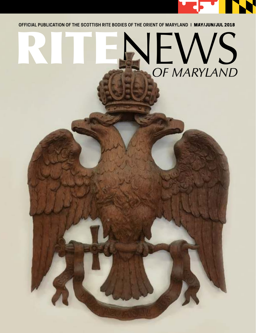

**OFFICIAL PUBLICATION OF THE SCOTTISH RITE BODIES OF THE ORIENT OF MARYLAND |** MAY/JUN/JUL 2018

# OFFICIAL PUBLICATION OF THE SCOTTISH RITE BODIES OF THE ORIENT OF MARYLAND | MAY/JUN/JUL 2018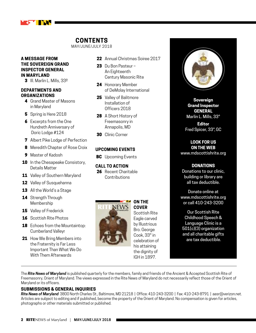

## **CONTENTS**

MAY/JUNE/JULY 2018

#### **A MESSAGE FROM THE SOVEREIGN GRAND INSPECTOR GENERAL IN MARYLAND**

3 III. Marlin L. Mills, 33º

#### **DEPARTMENTS AND ORGANIZATIONS**

- 4 Grand Master of Masons in Maryland
- **5** Spring is Here 2018
- **6** Excerpts from the One Hundreth Anniversary of Doric Lodge #124
- **7** Albert Pike Lodge of Perfection
- 8 Meredith Chapter of Rose Croix
- **9** Master of Kadosh
- 10 In the Chesapeake Consistory, Details Matter
- 11 Valley of Southern Maryland
- **12** Valley of Susquehanna
- 13 All the World's a Stage
- 14 Strength Through Membership
- **15** Valley of Frederick
- **16** Scottish Rite Photos
- **18** Echoes from the Mountaintop: Cumberland Valleyr
- 21 How We Bring Members into the Fraternity is Far Less Important Than What We Do With Them Afterwards
- 22 Annual Christmas Soiree 2017
- 23 Du Bon Pasteur An Eighteenth Century Masonic Rite
- 24 Honorary Member of DeMolay International
- 25 Valley of Balitmore Installation of Officers 2018
- 28 A Short History of Freemasonry in Annapolis, MD
- **30** Clinic Corner

## **UPCOMING EVENTS**

- **BC** Upcoming Events
- **CALL TO ACTION** 26 Recent Charitable **Contributions**



#### **ON THE COVER** Scottish Rite Eagle carved by Illustrious Bro. George Cook, 33° in celebration of his attaining the dignity of IGH in 1897.



**Sovereign Grand Inspector GENERAL** Marlin L. Mills, 33°

**Editor** Fred Spicer, 33°, GC

## **LOOK FOR US ON THE WEB**

www.mdscottishrite.org

#### **DONATIONS**

Donations to our clinic, building or library are all tax deductible.

Donate online at www.mdscottishrite.org or call 410-243-3200

Our Scottish Rite Childhood Speech & Language Clinic is a 501(c)(3) organization and all charitable gifts are tax deductible.

The *Rite News of Maryland* is published quarterly for the members, family and friends of the Ancient & Accepted Scottish Rite of Freemasonry, Orient of Maryland. The views expressed in the Rite News of Maryland do not necessarily reflect those of the Orient of Maryland or its officers.

#### **SUBMISSIONS & GENERAL INQUIRIES**

*Rite News of Maryland* 3800 North Charles St., Baltimore, MD 21218 | Office: 410-243-3200 | Fax: 410-243-8791 | aasr@verizon.net. Articles are subject to editing and if published, become the property of the Orient of Maryland. No compensation is given for articles, photographs or other materials submitted or published.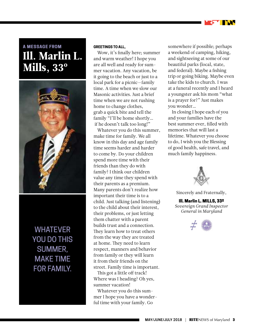

# **A MESSAGE FROM** Ill. Marlin L. Mills, 33º



# WHATEVER YOU DO THIS SUMMER, MAKE TIME FOR FAMILY.

#### **GREETINGS TO ALL,**

Wow, it's finally here; summer and warm weather! I hope you are all well and ready for summer vacation. Any vacation, be it going to the beach or just to a local park for a picnic—family time. A time when we slow our Masonic activities. Just a brief time when we are not rushing home to change clothes, grab a quick bite and tell the family "I'll be home shortly… if he doesn't talk too long!"

Whatever you do this summer, make time for family. We all know in this day and age family time seems harder and harder to come by. Do your children spend more time with their friends than they do with family? I think our children value any time they spend with their parents as a premium. Many parents don't realize how important their time is to a child. Just talking (and listening) to the child about their interest, their problems, or just letting them chatter with a parent builds trust and a connection. hey learn how to treat others from the way they are treated at home. They need to learn respect, manners and behavior from family or they will learn it from their friends on the street. Family time is important.

This got a little off track! Where was I heading? Oh yes, summer vacation!

Whatever you do this summer I hope you have a wonderful time with your family. Go

somewhere if possible; perhaps a weekend of camping, hiking, and sightseeing at some of our beautiful parks (local, state, and federal). Maybe a fishing trip or going biking. Maybe even take the kids to church. I was at a funeral recently and I heard a youngster ask his mom "what is a prayer for?" Just makes you wonder…

In closing I hope each of you and your families have the best summer ever, filled with memories that will last a lifetime. Whatever you choose to do, I wish you the Blessing of good health, safe travel, and much family happiness.



Sincerely and Fraternally,

Ill. Marlin L. MILLS, 33º *Sovereign Grand Inspector General in Maryland*

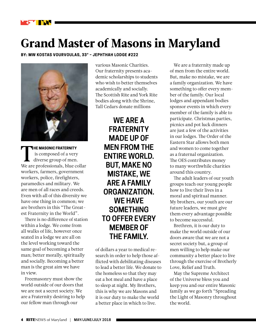

# Grand Master of Masons in Maryland

#### **BY: MW KOSTAS VOURVOULAS, 33° – JEPHTHAH LODGE #222**



THE MASONIC FRATERNITY<br>
is composed of a very<br>
diverse group of men.<br>
We are professionals, blue collar **HE MASONIC FRATERNITY** is composed of a very diverse group of men. workers, farmers, government workers, police, firefighters, paramedics and military. We are men of all races and creeds. Even with all of this diversity we have one thing in common; we are brothers in this "The Greatest Fraternity in the World".

here is no diference of station within a lodge. We come from all walks of life, however once seated in a lodge we are all on the level working toward the same goal of becoming a better man; better morally, spiritually and socially. Becoming a better man is the great aim we have in view.

Freemasonry must show the world outside of our doors that we are not a secret society. We are a Fraternity desiring to help our fellow man through our

various Masonic Charities. Our fraternity presents academic scholarships to students who wish to better themselves academically and socially. he Scottish Rite and York Rite bodies along with the Shrine, Tall Cedars donate millions

**WE ARE A FRATERNITY MADE UP OF MEN FROM THE ENTIRE WORLD. BUT, MAKE NO MISTAKE, WE ARE A FAMILY ORGANIZATION. WE HAVE SOMETHING TO OFFER EVERY MEMBER OF THE FAMILY.**

of dollars a year to medical research in order to help those aflicted with debilitating diseases to lead a better life. We donate to the homeless so that they may eat a hot meal and have a place to sleep at night. My Brothers, this is why we are Masons and it is our duty to make the world a better place in which to live.

We are a fraternity made up of men from the entire world. But, make no mistake, we are a family organization. We have something to offer every member of the family. Our local lodges and appendant bodies sponsor events in which every member of the family is able to participate. Christmas parties, picnics and pot luck dinners are just a few of the activities in our lodges. The Order of the Eastern Star allows both men and women to come together as a fraternal organization. he OES contributes money to many worthwhile charities around this country.

he adult leaders of our youth groups teach our young people how to live their lives in a moral and spiritual manner. My brothers, our youth are our future leaders, we must give them every advantage possible to become successful.

Brethren, it is our duty to make the world outside of our doors aware that we are not a secret society but, a group of men willing to help make our community a better place to live through the exercise of Brotherly Love, Relief and Truth.

May the Supreme Architect of the Universe bless you and keep you and our entire Masonic family as we go forth "Spreading the Light of Masonry throughout the world.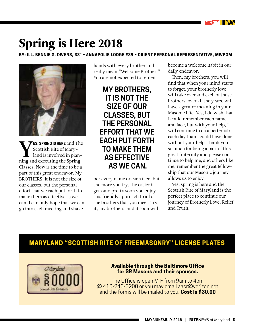

# Spring is Here 2018

## **BY: ILL. BENNIE G. OWENS, 33° – ANNAPOLIS LODGE #89 – ORIENT PERSONAL REPRESENTATIVE, MWPGM**



**ES, SPRING IS HERE** and The Scottish Rite of Mary-<br>land is involved in plan-<br>ning and executing the Spring **ES, SPRING IS HERE** and The Scottish Rite of Maryland is involved in plan-Classes. Now is the time to be a part of this great endeavor. My BROTHERS, it is not the size of our classes, but the personal effort that we each put forth to make them as effective as we can. I can only hope that we can go into each meeting and shake

hands with every brother and really mean "Welcome Brother." You are not expected to remem-

**MY BROTHERS, IT IS NOT THE SIZE OF OUR CLASSES, BUT THE PERSONAL EFFORT THAT WE EACH PUT FORTH TO MAKE THEM AS EFFECTIVE AS WE CAN.**

ber every name or each face, but the more you try, the easier it gets and pretty soon you enjoy this friendly approach to all of the brothers that you meet. Try it, my brothers, and it soon will

become a welcome habit in our daily endeavor.

hen, my brothers, you will find that when your mind starts to forget, your brotherly love will take over and each of those brothers, over all the years, will have a greater meaning in your Masonic Life. Yes, I do wish that I could remember each name and face, but with your help, I will continue to do a better job each day than I could have done without your help. Thank you so much for being a part of this great fraternity and please continue to help me, and others like me, remember the great fellowship that our Masonic journey allows us to enjoy.

Yes, spring is here and the Scottish Rite of Maryland is the perfect place to continue our journey of Brotherly Love, Relief, and Truth.

# **MARYLAND "SCOTTISH RITE OF FREEMASONRY" LICENSE PLATES**



## **Available through the Baltimore Office for SR Masons and their spouses.**

The Office is open M-F from 9am to 4pm @ 410-243-3200 or you may email aasr@verizon.net and the forms will be mailed to you. **Cost is \$30.00**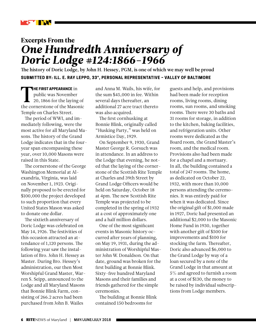

# Excerpts From the *One Hundredth Anniversary of Doric Lodge #124:1866-1966*

he history of Doric Lodge, by John H. Hessey, PGM, is one of which we may well be proud **SUBMITTED BY: ILL. E. RAY LEPPO, 33°, PERSONAL REPRESENTATIVE – VALLEY OF BALTIMORE** 

THE FIRST APPEARANCE in<br>public was November<br>20, 1866 for the laying of<br>the cornerstone of the Masonic **HE FIRST APPEARANCE** in public was November 20, 1866 for the laying of Temple on Charles Street.

he period of WWI, and immediately following, were the most active for all Maryland Masons. The history of the Grand Lodge indicates that in the fouryear span encompassing these year, over 10,000 Masons were raised in this State.

he cornerstone of the George Washington Memorial at Alexandria, Virginia, was laid on November 1, 1923. Originally proposed to be erected for \$100,000 the project developed to such proportion that every United States Mason was asked to donate one dollar.

he sixtieth anniversary of Doric Lodge was celebrated on May 14, 1926. The festivities of this occasion attracted an attendance of 1,120 persons. The following year saw the installation of Bro. John H. Hessey as Master. During Bro. Hessey's administration, our then Most Worshipful Grand Master, Warren S. Seipp, announced to the Lodge and all Maryland Masons that Bonnie Blink Farm, consisting of 266.2 acres had been purchased from John B. Wailes

and Anna M. Wails, his wife, for the sum \$45,000 in fee. Within several days thereafter, an additional 27 acre tract thereto was also acquired.

The first cornhusking at Bonnie Blink, originally called "Husking Party," was held on Armistice Day, 1929.

On September 9, 1930, Grand Master George R. Gorsuch was in attendance. In an address to the Lodge that evening, he noted that the laying of the cornerstone of the Scottish Rite Temple at Charles and 39th Street by Grand Lodge Officers would be held on Saturday, October 18 at 4pm. The new Scottish Rite Temple was projected to be completed in the spring of 1932 at a cost of approximately one and a half million dollars.

One of the most significant events in Masonic history occurred after years of planning, on May 19, 1931, during the administration of Worshipful Master John W. Donaldson. On that date, ground was broken for the first building at Bonnie Blink. Sixty-five hundred Maryland Masons and their families and friends gathered for the simple ceremonies.

he building at Bonnie Blink contained 150 bedrooms for

guests and help, and provisions had been made for reception rooms, living rooms, dining rooms, sun rooms, and smoking rooms. There were 30 baths and 31 rooms for storage, in addition to the kitchen, baking facilities, and refrigeration units. Other rooms were dedicated as the Board room, the Grand Master's room, and the medical room. Provisions also had been made for a chapel and a mortuary. In all, the building contained a total of 247 rooms. The home, as dedicated on October 22, 1932, with more than 10,000 persons attending the ceremonies. It was entirely paid for when it was dedicated. Since the original gift of \$1,000 made in 1927, Doric had presented an additional \$2,000 to the Masonic Home Fund in 1930, together with another gift of \$500 for improvements and \$100 for stocking the farm. Thereafter, Doric also advanced \$6,000 to the Grand Lodge by way of a loan secured by a note of the Grand Lodge in that amount at 5% and agreed to furnish a room at a cost of \$130, the money to be raised by individual subscriptions from Lodge members.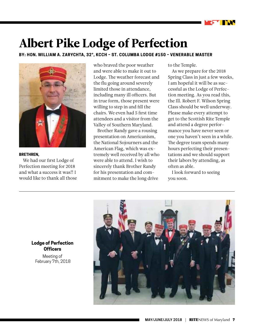

# Albert Pike Lodge of Perfection

## **BY: HON. WILLIAM A. ZARYCHTA, 32°, KCCH – ST. COLUMBA LODGE #150 – VENERABLE MASTER**



#### **BRETHREN,**

We had our first Lodge of Perfection meeting for 2018 and what a success it was!! I would like to thank all those

who braved the poor weather and were able to make it out to Lodge. The weather forecast and the flu going around severely limited those in attendance, including many ill officers. But in true form, those present were willing to step in and fill the chairs. We even had 5 first time attendees and a visitor from the Valley of Southern Maryland.

Brother Randy gave a rousing presentation on Americanism, the National Sojourners and the American Flag, which was extremely well received by all who were able to attend. I wish to sincerely thank Brother Randy for his presentation and commitment to make the long drive

to the Temple.

As we prepare for the 2018 Spring Class in just a few weeks, I am hopeful it will be as successful as the Lodge of Perfection meeting. As you read this, the Ill. Robert F. Wilson Spring Class should be well underway. Please make every attempt to get to the Scottish Rite Temple and attend a degree performance you have never seen or one you haven't seen in a while. he degree team spends many hours perfecting their presentations and we should support their labors by attending, as often as able.

I look forward to seeing you soon.



**Lodge of Perfection Officers**

Meeting of February 7th, 2018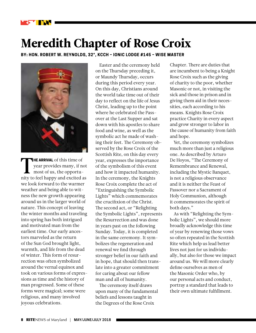

# Meredith Chapter of Rose Croix

## **BY: HON. ROBERT W. REYNOLDS, 32°, KCCH – IONIC LODGE #145 – WISE MASTER**



THE ARRIVAL of this time of<br>year provides many, if not<br>most of us, the opportu-<br>nity to feel happy and excited as **HE ARRIVAL** of this time of year provides many, if not most of us, the opportuwe look forward to the warmer weather and being able to witness the new growth appearing around us in the larger world of nature. This concept of leaving the winter months and traveling into spring has both intrigued and motivated man from the earliest time. Our early ancestors marveled as the return of the Sun God brought light, warmth, and life from the dead of winter. This form of resurrection was often symbolized around the vernal equinox and took on various forms of expressions as time and the history of man progressed. Some of these forms were magical; some were religious, and many involved joyous celebrations.

Easter and the ceremony held on the Thursday preceding it, or Maundy Thursday, occurs during this period every year. On this day, Christians around the world take time out of their day to reflect on the life of Jesus Christ, leading up to the point where he celebrated the Passover at the Last Supper and sat down with his apostles to share food and wine, as well as the symbolic act he made of washing their feet. The Ceremony observed by the Rose Croix of the Scottish Rite, on this day every year, expresses the importance of the symbolism of this event and how it impacted humanity. In the ceremony, the Knights Rose Croix complete the act of "Extinguishing the Symbolic Lights" which commemorates the crucifixion of the Christ. he second act, or "Relighting the Symbolic Lights", represents the Resurrection and was done in years past on the following Sunday. Today, it is completed in the same ceremony. It symbolizes the regeneration and renewal we find through stronger belief in our faith and in hope, that should then translate into a greater commitment for caring about our fellow man and all of humanity.

he ceremony itself draws upon many of the fundamental beliefs and lessons taught in the Degrees of the Rose Croix

Chapter. There are duties that are incumbent to being a Knight Rose Croix such as the giving of charity to the poor, whether Masonic or not, in visiting the sick and those in prison and in giving them aid in their necessities, each according to his means. Knights Rose Croix practice Charity in every aspect and grow stronger to labor in the cause of humanity from faith and hope.

Yet, the ceremony symbolizes much more than just a religious one. As described by Arturo De Hoyos, "The Ceremony of Remembrance and Renewal, including the Mystic Banquet, is not a religious observance and it is neither the Feast of Passover nor a Sacrament of Holy Communion, although it commemorates the spirit of both days."

As with "Relighting the Symbolic Lights", we should more broadly acknowledge this time of year by renewing those vows so often repeated in the Scottish Rite which help us lead better lives not just for us individually, but also for those we impact around us. We will more clearly define ourselves as men of the Masonic Order who, by our personal acts and conduct, portray a standard that leads to their own ultimate fulfillment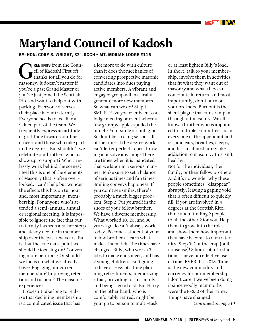

# Maryland Council of Kadosh

## **BY: HON. CORY S. WRIGHT, 32°, KCCH – MT. MORIAH LODGE #116**

**CELINGS** from the Counter Counter Counter of thanks for all you do for masonry. It doesn't matter if **REETINGS** from the Council of Kadosh! First off, thanks for all you do for you're a past Grand Master or you've just joined the Scottish Rite and want to help out with parking. Everyone deserves their place in our fraternity. Everyone needs to feel like a valued part of the team. We frequently express an attitude of gratitude towards our line officers and those who take part in the degrees. But shouldn't we celebrate our brothers who just show up to support? Who tirelessly work behind the scenes? I feel this is one of the elements of Masonry that is often overlooked. I can't help but wonder the effects this has on turnout and, most importantly, membership. For anyone who's attended a semi-annual, annual, or regional meeting, it is impossible to ignore the fact that our fraternity has seen a rather steep and steady decline in membership over the past few years. But is that the true data-point we should be focusing on? Converting more petitions? Or should we focus on what we already have? Engaging our current membership? Improving retention and turnout? The masonic experience?

It doesn't take long to realize that declining membership is a complicated issue that has

a lot more to do with culture than it does the mechanics of converting prospective masonic candidates into dues paying active members. A vibrant and engaged group will naturally generate more new members. So what can we do? Step 1. SMILE. Have you ever been to a lodge meeting or event where a few grumpy apples spoiled the bunch? Your smile is contagious. So don't be so dang serious all of the time. If the degree work isn't letter perfect…does throwing a fit solve anything? There are times when it is mandated that we labor in a serious manner. Make sure to set a balance of serious times and fun times. Smiling conveys happiness. If you don't see smiles, there's probably a much bigger problem. Step 2: Put yourself in the shoes of your fellow brother. We have a diverse membership. What worked 10, 20, and 30 years ago doesn't always work today. Become a student of your fellow brothers. Learn what makes them tick! The times have changed. Billy, who works 3 jobs to make ends meet, and has 2 young children…isn't going to have as easy of a time planning refreshments, memorizing ritual, providing for his family, and being a good dad. But Harry on the other hand, who is comfortably retired, might be your go to person to multi-task

or at least lighten Billy's load. In short, talk to your membership, involve them in activities that fit what they want out of masonry and what they can contribute in return, and most importantly, don't burn out your brothers. Burnout is the silent plague that runs rampant throughout masonry. We all know a brother who is appointed to multiple committees, is in every one of the appendant bodies, and eats, breathes, sleeps, and has an almost junky like addiction to masonry. This isn't healthy.

Not for the individual, their family, or their fellow brothers. And it's no wonder why these people sometimes "disappear" abruptly, leaving a gaping void that is often difficult to quickly fill. If you are involved in 4 degrees at the Scottish Rite… think about finding 2 people to fill the other 2 for you. Help them to grow into the roles and show them how important they have become to our fraternity. Step 3: Cut the crap (bull… nonsense)! 3 hours of introductions is never an efective use of time. EVER. It's 2018. Time is the new commodity and currency for our membership. I don't care if we've been doing it since woolly mammoths were the F-250 of their time. hings have changed.

*Continued on page 10*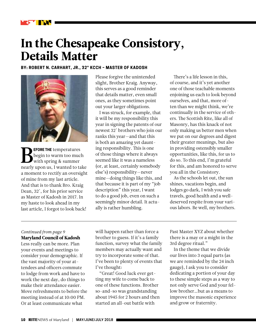# In the Chesapeake Consistory, Details Matter

#### **BY: ROBERT N. CARHART, JR., 32° KCCH – MASTER OF KADOSH**



**EFORE THE temperatures**<br>
begin to warm too much<br>
with spring & summer<br>
nearly upon us, I wanted to take **EFORE THE** temperatures begin to warm too much with spring & summer a moment to rectify an oversight of mine from my last article. And that is to thank Bro. Kraig Dean, 32°, for his prior service as Master of Kadosh in 2017. In my haste to look ahead in my last article, I forgot to look back!

Please forgive the unintended slight, Brother Kraig. Anyway, this serves as a good reminder that details matter, even small ones, as they sometimes point out your larger obligations.

I was struck, for example, that it will be my responsibility this year in signing the patents of our newest 32° brothers who join our ranks this year—and that this is both an amazing yet daunting responsibility. This is one of those things where it always seemed like it was a nameless (or, at least, certainly somebody else's) responsibility—never mine—doing things like this, and that because it is part of my "job description" this year, I want to do a good job, even on such a seemingly minor detail. It actually is rather humbling.

here's a life lesson in this, of course, and it's yet another one of those teachable moments enjoining us each to look beyond ourselves, and that, more often than we might think, we're continually in the service of others. The Scottish Rite, like all of Masonry, has this knack of not only making us better men when we put on our degrees and digest their greater meanings, but also in providing ostensibly smaller opportunities, like this, for us to do so. To this end, I'm grateful for this, and am honored to serve you all in the Consistory.

As the schools let out, the sun shines, vacations begin, and lodges go dark, I wish you safe travels, good health and a welldeserved respite from your various labors. Be well, my brothers.

#### *Continued from page 9* Maryland Council of Kadosh

Less really can be more. Plan your events and meetings to consider your demographic. If the vast majority of your attendees and officers commute to lodge from work and have to work the next day, do things to make their attendance easier. Move refreshments to before the meeting instead of at 10:00 PM. Or at least communicate what

will happen rather than force a brother to guess. If it's a family function, survey what the family members may actually want and try to incorporate some of that. I've been to plenty of events that I've thought:

"Great! Good luck ever getting my wife to come back to one of these functions. Brother so-and-so was grandstanding about 1945 for 2 hours and then started an all-out battle with

Past Master XYZ about whether there is a may or a might in the 3rd degree ritual."

In the theme that we divide our lives into 3 equal parts (as we are reminded by the 24 inch gauge), I ask you to consider dedicating a portion of your day to these simple steps as a way to not only serve God and your fellow brother…but as a means to improve the masonic experience and grow or fraternity.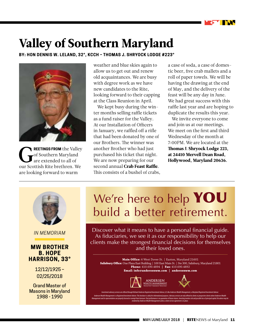

# Valley of Southern Maryland

## **BY: HON DENNIS W. LELAND, 32°, KCCH – THOMAS J. SHRYOCK LODGE #223°**



REETINGS FROM the Valley<br>of Southern Maryland<br>our Scottish Rite brethren. We **REETINGS FROM** the Valley of Southern Maryland are extended to all of are looking forward to warm

weather and blue skies again to allow us to get out and renew old acquaintances. We are busy with degree work as we have new candidates to the Rite, looking forward to their capping at the Class Reunion in April.

We kept busy during the winter months selling raffle tickets as a fund raiser for the Valley. At our Installation of Officers in January, we raffled off a rifle that had been donated by one of our Brothers. The winner was another Brother who had just purchased his ticket that night. We are now preparing for our second annual Crab Feast Raffle. his consists of a bushel of crabs,

a case of soda, a case of domestic beer, five crab mallets and a roll of paper towels. We will be having the drawing at the end of May, and the delivery of the feast will be any day in June. We had great success with this raffle last year and are hoping to duplicate the results this year.

We invite everyone to come and join us at our meetings. We meet on the first and third Wednesday of the month at 7:00PM. We are located at the homas J. Shryock Lodge 223, at 24410 Mervell Dean Road, Hollywood, Maryland 20636.



*IN MEMORIAM*

## **MW BROTHER B. HOPE HARRISON, 33°**

12/12/1925 – 02/25/2018

Grand Master of Masons in Maryland 1988 - 1990

# We're here to help YOU build a better retirement.

Discover what it means to have a personal financial guide. As fiduciaries, we see it as our responsibility to help our clients make the strongest inancial decisions for themselves and their loved ones.

**Main Office:** 6 West Dover St. | Easton, Maryland 21601 **Salisbury Office:** One Plaza East Building | 100 East Main St. | Ste 300, Salisbury, Maryland 21801 **Phone:** 410.690.4894 **| Fax:** 410.690.4892 **Email: info@andersenwm.com | andersenwm.com**





Investment advisory services are ofered through Michael Andersen Registered Investment Advisor, LLC dba Andersen Wealth Management, a Maryland Registered Investment Advisor. Andersen Wealth Management is a Registered Investment Adviser. This brochure is solely for informational purposes. Advisory services are only ofered to clients or prospective clients where Andersen Wealth Management and its representatives are properly licensed or exempt from licensure. Past performance is no guarantee of future returns. Investing involves risk and possible loss of principal capital. No advice may be rendered by Andersen Wealth Management unless a client service agreement is in place.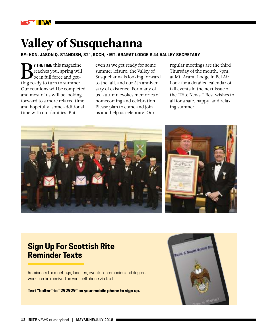

# Valley of Susquehanna

## **BY: HON. JASON Q. STANDISH, 32°, KCCH, - MT. ARARAT LODGE # 44 VALLEY SECRETARY**

**B** Y THE TIME this magazine reaches you, spring will be in full force and get-<br>ting ready to turn to summer. **Y THE TIME** this magazine reaches you, spring will be in full force and get-Our reunions will be completed and most of us will be looking forward to a more relaxed time, and hopefully, some additional time with our families. But

even as we get ready for some summer leisure, the Valley of Susquehanna is looking forward to the fall, and our 5th anniversary of existence. For many of us, autumn evokes memories of homecoming and celebration. Please plan to come and join us and help us celebrate. Our

regular meetings are the third Thursday of the month, 7pm, at Mt. Ararat Lodge in Bel Air. Look for a detailed calendar of fall events in the next issue of the "Rite News." Best wishes to all for a safe, happy, and relaxing summer!



# **Sign Up For Scottish Rite Reminder Texts**

Reminders for meetings, lunches, events, ceremonies and degree work can be received on your cell phone via text.

**Text "baltsr" to "292929" on your mobile phone to sign up.**

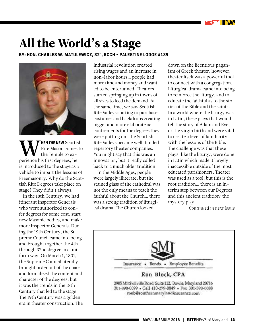

# All the World's a Stage

## **BY: HON. CHARLES W. MATULEWICZ, 32°, KCCH – PALESTINE LODGE #189**



WERTHE NEW Scottis<br>
the Temple to experience his first degrees, he **HEN THE NEW** Scottish Rite Mason comes to the Temple to exis introduced to the stage as a vehicle to impart the lessons of Freemasonry. Why do the Scottish Rite Degrees take place on stage? They didn't always.

In the 18th Century, we had itinerant Inspector Generals who were authorized to confer degrees for some cost, start new Masonic bodies, and make more Inspector Generals. During the 19th Century, the Supreme Council came into being and brought together the 4th through 32nd degree in a uniform way. On March 1, 1801, the Supreme Council literally brought order out of the chaos and formalized the content and character of the degrees, but it was the trends in the 18th Century that led to the stage. he 19th Century was a golden era in theater construction. The

industrial revolution created rising wages and an increase in non-labor hours… people had more time and money and wanted to be entertained. Theaters started springing up in towns of all sizes to feed the demand. At the same time, we saw Scottish Rite Valleys starting to purchase costumes and backdrops creating bigger and more elaborate accoutrements for the degrees they were putting on. The Scottish Rite Valleys became well-funded repertory theater companies. You might say that this was an innovation, but it really called back to a much older tradition.

In the Middle Ages, people were largely illiterate, but the stained glass of the cathedral was not the only means to teach the faithful about the Church… there was a strong tradition of liturgical drama. The Church looked

down on the licentious paganism of Greek theater, however, theater itself was a powerful tool to connect with a congregation. Liturgical drama came into being to reinforce the liturgy, and to educate the faithful as to the stories of the Bible and the saints. In a world where the liturgy was in Latin, these plays that would tell the story of Adam and Eve, or the virgin birth and were vital to create a level of familiarity with the lessons of the Bible. he challenge was that these plays, like the liturgy, were done in Latin which made it largely inaccessible outside of the most educated parishioners. Theater was used as a tool, but this is the root tradition… there is an interim step between our Degrees and this ancient tradition: the mystery play.

*Continued in next issue*

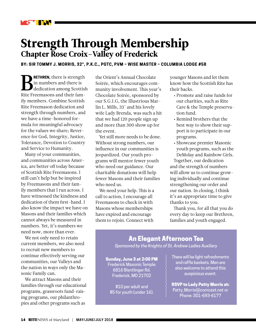

# **Strength Through Membership** Chapter Rose Croix–Valley of Frederick

**BY: SIR TOMMY J. MORRIS, 32°, P.K.C., PGTC, PVM – WISE MASTER – COLUMBIA LODGE #58**

**BETHREN,** there is strength<br>in numbers and there is<br>dedication among Scottis.<br>Rite Freemasons and their fam-**RETHREN,** there is strength in numbers and there is dedication among Scottish ily members. Combine Scottish Rite Freemason dedication and strength through numbers, and we have a time-honored formula for meaningful advocacy for the values we share; Reverence for God, Integrity, Justice, Tolerance, Devotion to Country and Service to Humanity.

Many of your communities, and communities across America, are better off today because of Scottish Rite Freemasons. I still can't help but be inspired by Freemasons and their family members that I run across. I have witnessed the kindness and dedication of them first-hand. I also know the impact we have on Masons and their families which cannot always be measured in numbers. Yet, it's numbers we need now, more than ever.

We not only need to retain current members, we also need to recruit new members to continue efectively serving our communities, our Valleys and the nation in ways only the Masonic Family can.

We attract Masons and their families through our educational programs, grassroots fund-raising programs, our philanthropies and other programs such as

the Orient's Annual Chocolate Soirée, which encourages community involvement. This year's Chocolate Soirée, sponsored by our S.G.I.G, the Illustrious Marlin L. Mills, 33° and his lovely wife Lady Brenda, was such a hit that we had 120 people sign up and more than 300 show up for the event.

Yet still more needs to be done. Without strong numbers, our inluence in our communities is jeopardized. Our youth programs will mentor fewer youth who need our guidance. Our charitable donations will help fewer Masons and their families who need us.

We need your help. This is a call to action, I encourage all Freemasons to check in with Masons whose memberships have expired and encourage them to rejoin. Connect with

younger Masons and let them know how the Scottish Rite has their backs.

- Promote and raise funds for our charities, such as Rite Care & the Temple preservation fund.
- Remind brothers that the best way to show their support is to participate in our programs.
- Showcase premier Masonic youth programs, such as the DeMolay and Rainbow Girls.

Together, our dedication and the strength of numbers will allow us to continue growing individually and continue strengthening our order and our nation. In closing, I think it's an appropriate time to give thanks to you.

hank you, for all that you do every day to keep our Brethren, families and youth engaged.

# An Elegant Afternoon Tea

*Sponsored by the Knights of St. Andrew Ladies Auxiliary*

Sunday, June 3 at 2:00 PM Frederick Masonic Temple 6816 Blentlinger Rd. Frederick, MD 21702

\$10 per adult and \$5 for youth (under 16). There will be light refreshments and raffle baskets. Men are also welcome to attend this auspicious event.

RSVP to Lady Patty Morris at: Patty\_Morris@comcast.net or Phone: 301-693-6177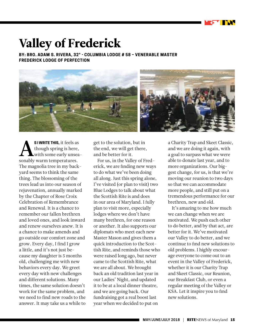

# Valley of Frederick

**BY: BRO. ADAM S. RIVERA, 32° - COLUMBIA LODGE # 58 – VENERABLE MASTER FREDERICK LODGE OF PERFECTION**



SI WRITE THIS, it feels as though spring is here, with some early unseasonably warm temperatures. **S I WRITE THIS,** it feels as though spring is here, with some early unsea-The magnolia tree in my backyard seems to think the same thing. The blossoming of the trees lead us into our season of rejuvenation, annually marked by the Chapter of Rose Croix Celebration of Remembrance and Renewal. It is a chance to remember our fallen brethren and loved ones, and look inward and renew ourselves anew. It is a chance to make amends and go outside our comfort zone and grow. Every day, I find I grow a little, and it's not just because my daughter is 5 months old, challenging me with new behaviors every day. We greet every day with new challenges and different solutions. Many times, the same solution doesn't work for the same problem, and we need to find new roads to the answer. It may take us a while to

get to the solution, but in the end, we will get there, and be better for it.

For us, in the Valley of Frederick, we are finding new ways to do what we've been doing all along. Just this spring alone, I've visited (or plan to visit) two Blue Lodges to talk about what the Scottish Rite is and does in our area of Maryland. I fully plan to visit more, especially lodges where we don't have many brethren, for one reason or another. It also supports our diplomats who meet each new Master Mason and gives them a quick introduction to the Scottish Rite, and reminds those who were raised long ago, but never came to the Scottish Rite, what we are all about. We brought back an old tradition last year in our Ladies' Night, and updated it to be at a local dinner theatre, and we are going back. Our fundraising got a real boost last year when we decided to put on

a Charity Trap and Skeet Classic, and we are doing it again, with a goal to surpass what we were able to donate last year, and to more organizations. Our biggest change, for us, is that we're moving our reunion to two days so that we can accommodate more people, and still put on a tremendous performance for our brethren, new and old.

It's amazing to me how much we can change when we are motivated. We push each other to do better, and by that act, are better for it. We've motivated our Valley to do better, and we continue to find new solutions to old problems. I highly encourage everyone to come out to an event in the Valley of Frederick, whether it is our Charity Trap and Skeet Classic, our Reunion, our Breakfast Club, or even a regular meeting of the Valley or KSA. Let it inspire you to find new solutions.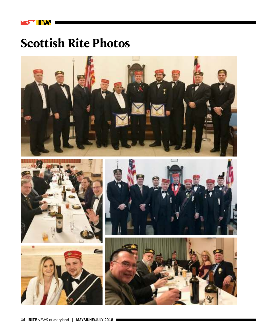

# Scottish Rite Photos

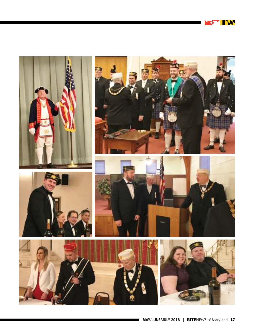

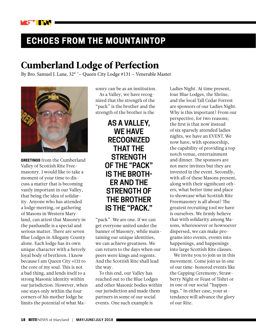# **ECHOES FROM THE MOUNTAINTOP**

# Cumberland Lodge of Perfection

By Bro. Samuel J. Lane, 32° ˜– Queen City Lodge #131 – Venerable Master



**GREETINGS** from the Cumberland Valley of Scottish Rite Freemasonry. I would like to take a moment of your time to discuss a matter that is becoming vastly important in our Valley, that being the idea of solidarity. Anyone who has attended a lodge meeting, or gathering of Masons in Western Maryland, can attest that Masonry in the panhandle is a special and serious matter. There are seven Blue Lodges in Allegany County alone. Each lodge has its own unique character with a fiercely loyal body of brethren. I know because I am Queen City #131 to the core of my soul. This is not a bad thing, and lends itself to a strong Masonic identity within our jurisdiction. However, when one stays only within the four corners of his mother lodge he limits the potential of what Masonry can be as an institution. As a Valley, we have recognized that the strength of the "pack" is the brother and the strength of the brother is the

# **AS A VALLEY, WE HAVE RECOGNIZED THAT THE STRENGTH OF THE "PACK" IS THE BROTH-ER AND THE STRENGTH OF THE BROTHER IS THE "PACK."**

"pack". We are one. If we can get everyone united under the banner of Masonry, while maintaining our unique identities, we can achieve greatness. We can return to the days when our peers were kings and regents. And the Scottish Rite shall lead the way.

To this end, our Valley has reached out to the Blue Lodges and other Masonic bodies within our jurisdiction and made them partners in some of our social events. One such example is

Ladies Night. At time present, four Blue Lodges, the Shrine, and the local Tall Cedar Forrest are sponsors of our Ladies Night. Why is this important? From our perspective, for two reasons; the first is that now instead of six sparsely attended ladies nights, we have an EVENT. We now have, with sponsorship, the capability of providing a top notch venue, entertainment and dinner. The sponsors are not mere invitees but they are invested in the event. Secondly, with all of these Masons present, along with their significant others, what better time and place to showcase what Scottish Rite Freemasonry is all about? The greatest recruiting tool we have is ourselves. We firmly believe that with solidarity among Masons, wheresoever or howsoever dispersed, we can make programs into events, events into happenings, and happenings into large Scottish Rite classes.

We invite you to join us in this movement. Come join us in one of our time-honored events like the Capping Ceremony, Strawberry Night or Feast of Tishri or in one of our social "happenings." In either case, your attendance will advance the glory of our Rite.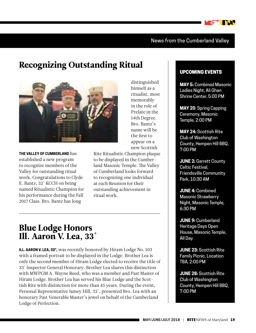

## News from the Cumberland Valley

# Recognizing Outstanding Ritual



**THE VALLEY OF CUMBERLAND** has established a new program to recognize members of the Valley for outstanding ritual work. Congratulations to Clyde E. Bantz, 32° KCCH on being named Ritualistic Champion for his performance during the Fall 2017 Class. Bro. Bantz has long

distinguished himself as a ritualist, most memorably in the role of Prelate in the 14th Degree. Bro. Bantz's name will be the first to appear on a new Scottish

Rite Ritualistic Champion plaque to be displayed in the Cumberland Masonic Temple. The Valley of Cumberland looks forward to recognizing one individual at each Reunion for their outstanding achievement in ritual work.

# Blue Lodge Honors Ill. Aaron V. Lea, 33°

**ILL. AARON V. LEA, 33°,** was recently honored by Hiram Lodge No. 103 with a framed portrait to be displayed in the Lodge. Brother Lea is only the second member of Hiram Lodge elected to receive the title of 33° Inspector General Honorary. Brother Lea shares this distinction with MWPGM A. Wayne Reed, who was a member and Past Master of Hiram Lodge. Brother Lea has served his Blue Lodge and the Scottish Rite with distinction for more than 45 years. During the event, Personal Representative Jamey Hill, 33°, presented Bro. Lea with an honorary Past Venerable Master's jewel on behalf of the Cumberland Lodge of Perfection.

## UPCOMING EVENTS

**MAY 5:** Combined Masonic Ladies Night, Ali Ghan Shrine Center, 5:00 PM

**MAY 20**: Spring Capping Ceremony, Masonic Temple, 2:00 PM

**MAY 24:** Scottish Rite Club of Washington County, Hempen Hill BBQ, 7:00 PM

**JUNE 2:** Garrett County Celtic Festival, Friendsville Community Park, 10:30 AM

**JUNE 4:** Combined Masonic Strawberry Night, Masonic Temple, 6:30 PM

**JUNE 9:** Cumberland Heritage Days Open House, Masonic Temple, All Day

**JUNE 23:** Scottish Rite Family Picnic, Location TBA, 2:00 PM

**JUNE 28:** Scottish Rite Club of Washington County, Hempen Hill BBQ, 7:00 PM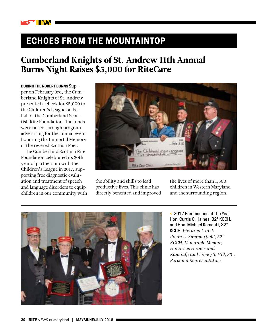# **ECHOES FROM THE MOUNTAINTOP**

# Cumberland Knights of St. Andrew 11th Annual Burns Night Raises \$5,000 for RiteCare

**DURING THE ROBERT BURNS** Sup-

per on February 3rd, the Cumberland Knights of St. Andrew presented a check for \$5,000 to the Children's League on behalf of the Cumberland Scottish Rite Foundation. The funds were raised through program advertising for the annual event honoring the Immortal Memory of the revered Scottish Poet.

he Cumberland Scottish Rite Foundation celebrated its 20th year of partnership with the Children's League in 2017, supporting free diagnostic evaluation and treatment of speech and language disorders to equip children in our community with



the ability and skills to lead productive lives. This clinic has directly benefited and improved the lives of more than 1,500 children in Western Maryland and the surrounding region.



< 2017 Freemasons of the Year Hon. Curtis C. Haines, 32° KCCH, and Hon. Michael Kamauff, 32° KCCH. *Pictured L to R: Robin L. Summerield, 32° KCCH, Venerable Master; Honorees Haines and Kamauf; and Jamey S. Hill, 33°, Personal Representative*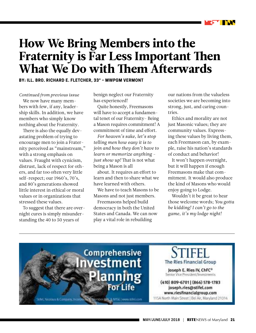# How We Bring Members into the Fraternity is Far Less Important Then What We Do with Them Afterwards

**BY: ILL. BRO. RICHARD E. FLETCHER, 33° – MWPGM VERMONT**

*Continued from previous issue*

We now have many members with few, if any, leadership skills. In addition, we have members who simply know nothing about the Fraternity.

here is also the equally devastating problem of trying to encourage men to join a Fraternity perceived as "mainstream," with a strong emphasis on values. Fraught with cynicism, distrust, lack of respect for others, and far too often very little self-respect; our 1960's, 70's, and 80's generations showed little interest in ethical or moral values or in organizations that stressed these values.

To suggest that there are overnight cures is simply misunderstanding the 40 to 50 years of

benign neglect our Fraternity has experienced!

Quite honestly, Freemasons will have to accept a fundamental tenet of our Fraternity- Being a Mason requires commitment! A commitment of time and effort.

*For heaven's sake, let's stop telling men how easy it is to join and how they don't have to learn or memorize anything just show up!* That is not what being a Mason is all

about. It requires an effort to learn and then to share what we have learned with others.

We have to teach Masons to be Masons and not just members.

Freemasons helped build democracy in both the United States and Canada. We can now play a vital role in rebuilding

our nations from the valueless societies we are becoming into strong, just, and caring countries.

Ethics and morality are not just Masonic values; they are community values. Expressing these values by living them, each Freemason can, by example, raise his nation's standards of conduct and behavior!

It won't happen overnight, but it will happen if enough Freemasons make that commitment. It would also produce the kind of Masons who would enjoy going to Lodge.

Wouldn't it be great to hear those welcome words; *You gotta be kidding! I can't go to the game, it's my lodge night!*

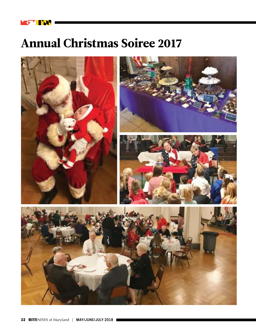## E5 Y

# Annual Christmas Soiree 2017

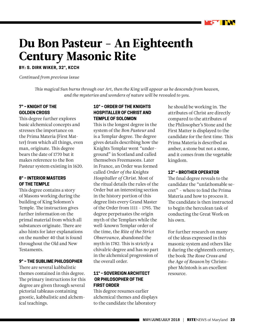

# Du Bon Pasteur - An Eighteenth Century Masonic Rite

## **BY: S. DIRK WIKER, 32°, KCCH**

*Continued from previous issue*

*his magical Sun burns through our Art, then the King will appear as he descends from heaven, and the mysteries and wonders of nature will be revealed to you.*

## **7° – KNIGHT OF THE GOLDEN CROSS**

his degree further explores basic alchemical concepts and stresses the importance on the Prima Materia (First Matter) from which all things, even man, originate. This degree bears the date of 1770 but it makes reference to the Bon Pasteur system existing in 1620.

## **8° – INTERIOR MASTERS OF THE TEMPLE**

his degree contains a story of Masons working during the building of King Solomon's Temple. The instruction gives further information on the primal material from which all substances originate. There are also hints for later explanations on the number 40 that is found throughout the Old and New Testaments.

#### **9° – THE SUBLIME PHILOSOPHER**

here are several kabbalistic themes contained in this degree. he primary instructions for this degree are given through several pictorial tableaus containing gnostic, kabbalistic and alchemical teachings.

#### **10° – ORDER OF THE KNIGHTS HOSPITALLER OF CHRIST AND TEMPLE OF SOLOMON**

his is the longest degree in the system of the *Bon Pasteur* and is a Templar degree. The degree gives details describing how the Knights Templar went "underground" in Scotland and called themselves Freemasons. Later in France, an Order was formed called *Order of the Knights Hospitaller of Christ*. Most of the ritual details the rules of the Order but an interesting section in the history portion of this degree lists every Grand Master of the Order from 1111 - 1795. he degree perpetuates the origin myth of the Templars while the well-known Templar order of the time, the *Rite of the Strict Observance,* abandoned the myth in 1782. This is strictly a chivalric degree and has no part in the alchemical progression of the overall order.

## **11° – SOVEREIGN ARCHITECT OR PHILOSOPHER OF THE FIRST ORDER**

his degree resumes earlier alchemical themes and displays to the candidate the laboratory

he should be working in. The attributes of Christ are directly compared to the attributes of the Philosopher's Stone and the First Matter is displayed to the candidate for the first time. This Prima Materia is described as amber, a stone but not a stone, and it comes from the vegetable kingdom.

#### **12° – BROTHER OPERATOR**

The final degree reveals to the candidate the "unfathomable secret" - where to find the Prima Materia and how to process it. he candidate is then instructed to begin the herculean task of conducting the Great Work on his own.

For further research on many of the ideas expressed in this masonic system and others like it during the eighteenth century, the book *he Rose Cross and the Age of Reason* by Christopher McIntosh is an excellent resource.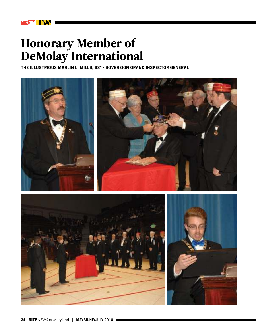

# Honorary Member of DeMolay International

**THE ILLUSTRIOUS MARLIN L. MILLS, 33° - SOVEREIGN GRAND INSPECTOR GENERAL** 

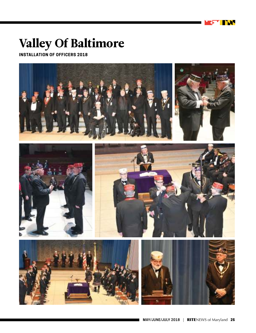

# Valley Of Baltimore

**INSTALLATION OF OFFICERS 2018**

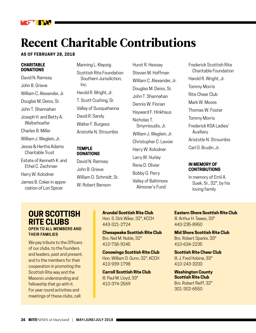

# Recent Charitable Contributions

## **AS OF FEBRUARY 28, 2018**

## **CHARITABLE DONATIONS**

David N. Ramsey John B. Grieve William C. Alexander, Jr. Douglas M. Deiss, Sr. John T. Shannahan Joseph H. and Betty A. **Walterhoefer** Charles B. Miller William J. Weglein, Jr. Jesse & Hertha Adams Charitable Trust

Estate of Kenneth K. and Ethel C. Zechman

Harry W. Kolodner

James B. Coker in appreciation of Lori Spicer

Manning L. Klepsig Scottish Rite Foundation Southern Jurisdiction, Inc. Harold R. Wright, Jr. T. Scott Cushing, Sr. Valley of Susquehanna David R. Sandy Walter F. Burgess Aristotle N. Stroumbis

#### **TEMPLE DONATIONS**

David N. Ramsey John B. Grieve William D. Schmidt, Sr. W. Robert Benson

Hurst R. Hessey Steven M. Hoffman William C. Alexander, Jr. Douglas M. Deiss, Sr. John T. Shannahan Dennis W. Florian Hayward F. Hinkhaus Nicholas T. Smyrnioudis, Jr. William J. Weglein, Jr. Christopher C. Lavoie Harry W. Kolodner Larry W. Hurley Rene D. Olivier Bobby G. Perry Valley of Baltimore Almoner's Fund

Frederick Scottish Rite Charitable Foundation Harold R. Wright, Jr. Tommy Morris Rite Cheer Club Mark W. Moore Thomas W. Foster Tommy Morris Frederick KSA Ladies' Auxiliary Aristotle N. Stroumbis Carl O. Brudin, Jr.

#### **IN MEMORY OF CONTRIBUTIONS**

In memory of Emil A. Suek, Sr., 32°, by his loving family

## **OUR SCOTTISH RITE CLUBS OPEN TO ALL MEMBERS AND THEIR FAMILIES**

We pay tribute to the Officers of our clubs, to the founders and leaders, past and present, and to the members for their cooperation in promoting the Scottish Rite way and the Masonic understanding and fellowship that go with it. For year round activities and meetings of these clubs, call:

**Arundel Scottish Rite Club**  Hon. S. Dirk Wiker, 32°, KCCH 443-321-2724

**Chesapeake Scottish Rite Club**  Bro. Neil M. Noble, 32° 410-736-9245

**Conowingo Scottish Rite Club**  Hon. William D. Gunn, 32°, KCCH 410-939-1798

**Carroll Scottish Rite Club**  Ill. Paul M. Lloyd, 33° 410-374-2569

**Eastern Shore Scottish Rite Club**

Ill. Arthur H. Tawes, 33° 443-235-8950

**Mid Shore Scottish Rite Club**  Bro. Robert Sparks, 33° 410-634-2235

**Scottish Rite Cheer Club**  Ill. J. Fred Hobine, 33° 410-243-3200

**Washington County Scottish Rite Club**  Bro. Robert Reiff, 32° 301-302-6550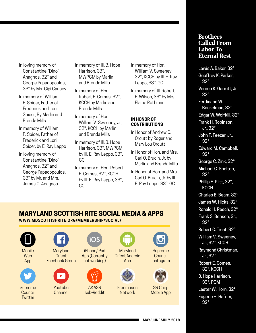- In loving memory of Constantine "Dino" Anagnos, 32° and Ill. George Papadopoulos, 33° by Ms. Gigi Causey
- In memory of William F. Spicer, Father of Frederick and Lori Spicer, By Marlin and Brenda Mills
- In memory of William F. Spicer, Father of Frederick and Lori Spicer, by E. Ray Leppo
- In loving memory of Constantine "Dino" Anagnos, 32° and George Papadopoulos, 33° by Mr. and Mrs. James C. Anagnos

**Twitter** 

- In memory of Ill. B. Hope Harrison, 33°, MWPGM by Marlin and Brenda Mills
- In memory of Hon. Robert E. Comes, 32°, KCCH by Marlin and Brenda Mills
- In memory of Hon. William V. Sweeney, Jr., 32°, KCCH by Marlin and Brenda Mills
- In memory of Ill. B. Hope Harrison, 33°, MWPGM by Ill. E. Ray Leppo, 33°, GC
- In memory of Hon. Robert E. Comes, 32°, KCCH by Ill. E. Ray Leppo, 33°, GC
- In memory of Hon. William V. Sweeney, 32°, KCCH by Ill. E. Ray Leppo, 33°, GC
- In memory of Ill. Robert F. Wilson, 33° by Mrs. Elaine Rothman

## **IN HONOR OF CONTRIBUTIONS**

- In Honor of Andrew C. Orcutt by Roger and Mary Lou Orcutt
- In Honor of Hon. and Mrs. Carl O. Brudin, Jr. by Marlin and Brenda Mills
- In Honor of Hon. and Mrs. Carl O. Brudin, Jr. by Ill. E. Ray Leppo, 33°, GC

# **MARYLAND SCOTTISH RITE SOCIAL MEDIA & APPS**

**WWW.MDSCOTTISHRITE.ORG/MEMBERSHIP/SOCIAL/**



## **Brothers** Called From Labor To Eternal Rest

Lewis A. Baker, 32° Geoffrey K. Parker, 32° Vernon K. Garrett, Jr., 32° Ferdinand W. Bockelman, 32° Edgar W. Wolfkill, 32° Frank H. Robinson, Jr., 32° John F. Feezer, Jr., 32° Edward M. Campbell, 32° George C. Zink, 32° Michael C. Shelton, 32° Phillip E. Plitt, 32°, **KCCH** Charles B. Beam, 32° James W. Hicks, 32° Ronald H. Resch, 32° Frank S. Benson, Sr., 32° Robert C. Treat, 32° William V. Sweeney, Jr., 32°, KCCH Raymond Christman, Jr., 32° Robert E. Comes, 32°, KCCH B. Hope Harrison, 33°, PGM Lester W. Horn, 32° Eugene H. Hafner, 32°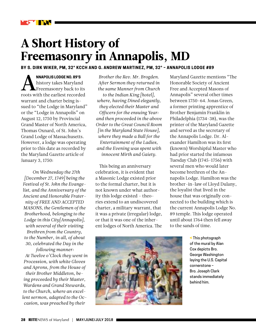

# A Short History of Freemasonry in Annapolis, MD

## **BY S. DIRK WIKER, PM, 32° KCCH AND G. ANDREW MARTINEZ, PM, 32° – ANNAPOLIS LODGE #89**

**ANAPOLIS LODGE NO. 89'S**<br>history takes Maryland<br>Freemasonry back to its<br>roots with the earliest recorded **NNAPOLIS LODGE NO. 89'S** history takes Maryland Freemasonry back to its warrant and charter being issued to "the Lodge in Maryland" or the "Lodge in Annapolis" on August 12, 1750 by Provincial Grand Master of North America, Thomas Oxnard, of St. John's Grand Lodge of Massachusetts. However, a lodge was operating prior to this date as recorded by the Maryland Gazette article of January 3, 1750:

*On Wednesday the 27th [December 27, 1749] being the Festival of St. John the Evangelist, and the Anniversary of the Ancient and Honorable Fraternity of FREE AND ACCEPTED MASONS, the Gentlemen of the Brotherhood, belonging to the Lodge in this City[Annapolis], with several of their visiting Brethren from the Country, to the Number, in all, of about 30, celebrated the Day in the following manner:*

*At Twelve o'Clock they went in Procession, with white Gloves and Aprons, from the House of their Brother Middleton, being preceeded by their Master, Wardens and Grand Stewards, to the Church, where an excellent sermon, adapted to the Occasion, was preached by their* 

*Brother the Rev. Mr. Brogden. After Sermon they returned in the same Manner from Church to the Indian King [hotel], where, having Dined elegantly, they elected their Master and Oicers for the ensuing Year: and then proceeded in the above Order to the Great Council Room [in the Maryland State House], where they made a Ball for the Entertainment of the Ladies, and the Evening was spent with innocent Mirth and Gaiety.*

his being an anniversary celebration, it is evident that a Masonic Lodge existed prior to the formal charter, but it is not known under what authority this lodge existed – theories extend to an undiscovered charter, a military warrant, that it was a private (irregular) lodge, or that it was one of the inherent lodges of North America. The

Maryland Gazette mentions "he Honorable Society of Ancient Free and Accepted Masons of Annapolis" several other times between 1750-64. Jonas Green, a former printing apprentice of Brother Benjamin Franklin in Philadelphia (1734-38), was the printer of the Maryland Gazette and served as the secretary of the Annapolis Lodge. Dr. Alexander Hamilton was its first (known) Worshipful Master who had prior started the infamous Tuesday Club (1745-1756) with several men who would later become brethren of the Annapolis Lodge. Hamilton was the brother-in-law of Lloyd Dulany, the loyalist that lived in the house that was originally connected to the building which is the current Annapolis Lodge No. 89 temple. This lodge operated until about 1764 then fell away to the sands of time.



< This photograph of the mural by Alan Cox depicts Bro. George Washington laying the U.S. Capital cornerstone – Bro. Joseph Clark stands immediately behind him.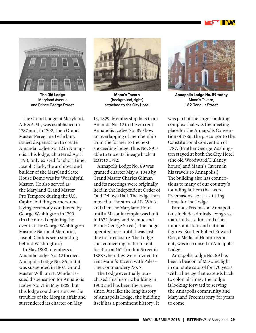



**The Old Lodge** Maryland Avenue and Prince George Street

he Grand Lodge of Maryland, A.F.&A.M., was established in 1787 and, in 1792, then Grand Master Peregrine Lethrbury issued dispensation to create Amanda Lodge No. 12 in Annapolis. This lodge, chartered April 1793, only existed for short time. Joseph Clark, the architect and builder of the Maryland State House Dome was its Worshipful Master. He also served as the Maryland Grand Master Pro Tempore during the U.S. Capitol building cornerstone laying ceremony conducted by George Washington in 1793. (In the mural depicting the event at the George Washington Masonic National Memorial, Joseph Clark is seen standing behind Washington.)

In May 1803, members of Amanda Lodge No. 12 formed Annapolis Lodge No. 36, but it was suspended in 1807. Grand Master William H. Winder issued dispensation for Annapolis Lodge No. 71 in May 1822, but this lodge could not survive the troubles of the Morgan affair and surrendered its charter on May



**Mann's Tavern**  (background, right) attached to the City Hotel

13, 1829. Membership lists from Amanda No. 12 to the current Annapolis Lodge No. 89 show an overlapping of membership from the former to the next succeeding lodge, thus No. 89 is able to trace its lineage back at least to 1792.

Annapolis Lodge No. 89 was granted charter May 9, 1848 by Grand Master Charles Gilman and its meetings were originally held in the Independent Order of Odd Fellows Hall. The lodge then moved to the store of J.B. White and then the Maryland Hotel until a Masonic temple was built in 1872 (Maryland Avenue and Prince George Street). The lodge operated here until it was lost due to foreclosure. The Lodge started meeting in its current location at 162 Conduit Street in 1888 when they were invited to rent Mann's Tavern with Palestine Commandery No. 7.

he Lodge eventually purchased this historic building in 1900 and has been there ever since. Just like the long history of Annapolis Lodge, the building itself has a prominent history. It



**Annapolis Lodge No. 89 today**  Mann's Tavern, 162 Conduit Street

was part of the larger building complex that was the meeting place for the Annapolis Convention of 1786, the precursor to the Constitutional Convention of 1787. (Brother George Washington stayed at both the City Hotel (the old Woodward/Dulaney house) and Mann's Tavern in his travels to Annapolis.) he building also has connections to many of our country's founding fathers that were Freemasons, so it is a fitting home for the Lodge.

Famous Freemason Annapolitans include admirals, congressman, ambassadors and other important state and national figures. Brother Robert Edward Cox, a Medal of Honor recipient, was also raised in Annapolis Lodge.

Annapolis Lodge No. 89 has been a beacon of Masonic light in our state capitol for 170 years with a lineage that extends back to colonial times. The Lodge is looking forward to serving the Annapolis community and Maryland Freemasonry for years to come.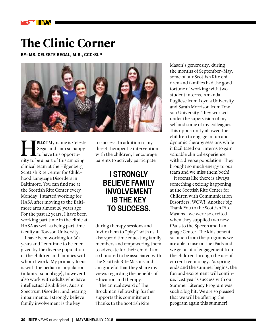

# he Clinic Corner

**BY: MS. CELESTE SEGAL, M.S., CCC-SLP**



**ELLO!!** My name is Celeste Segal and I am so happy to have this opportu-<br>nity to be a part of this amazing **ELLO!!** My name is Celeste Segal and I am so happy to have this opportuclinical team at the Hilgenberg Scottish Rite Center for Childhood Language Disorders in Baltimore. You can find me at the Scottish Rite Center every Monday. I started working for HASA after moving to the Baltimore area almost 28 years ago. For the past 12 years, I have been working part time in the clinic at HASA as well as being part time faculty at Towson University.

I have been working for 30+ years and I continue to be energized by the diverse population of the children and families with whom I work. My primary focus is with the pediatric population (infants- school age), however I also work with adults who have intellectual disabilities, Autism Spectrum Disorder, and hearing impairments. I strongly believe family involvement is the key

to success. In addition to my direct therapeutic intervention with the children, I encourage parents to actively participate

# **I STRONGLY BELIEVE FAMILY INVOLVEMENT IS THE KEY TO SUCCESS.**

during therapy sessions and invite them to "play" with us. I also spend time educating family members and empowering them to advocate for their child. I am so honored to be associated with the Scottish Rite Masons and am grateful that they share my views regarding the benefits of education and therapy.

The annual award of The Brockman Fellowship further supports this commitment. hanks to the Scottish Rite

Mason's generosity, during the months of September-May, some of our Scottish Rite children and families had the good fortune of working with two student interns, Amanda Pugliese from Loyola University and Sarah Morrison from Towson University. They worked under the supervision of myself and some of my colleagues. his opportunity allowed the children to engage in fun and dynamic therapy sessions while it facilitated our interns to gain valuable clinical experience with a diverse population. They brought so much energy to our team and we miss them both!

It seems like there is always something exciting happening at the Scottish Rite Center for Children with Communication Disorders. WOW!! Another big hank You to the Scottish Rite Masons- we were so excited when they supplied two new iPads to the Speech and Language Center. The kids benefit so much from the programs we are able to use on the iPads and we get a lot of engagement from the children through the use of current technology. As spring ends and the summer begins, the fun and excitement will continue. Last year's success with our Summer Literacy Program was such a big hit. We are so pleased that we will be offering the program again this summer!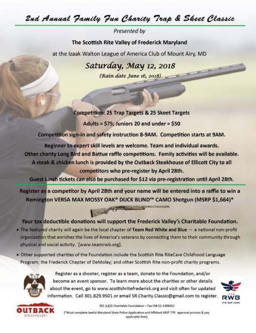# 2nd Annual Family Fun Charity Trap & Skeet Classic

Presented by

# The Scottish Rite Valley of Frederick Maryland

at the Izaak Walton League of America Club of Mount Airy, MD

Saturday, May 12, 2018

(Rain date June 16, 2018)

# **Competition: 25 Trap Targets & 25 Skeet Targets**

Adults =  $$75$ ; Juniors 20 and under =  $$50$ 

Competition sign-in and safety instruction 8-9AM. Competition starts at 9AM.

Beginner to expert skill levels are welcome. Team and individual awards. Other charity Long Bird and Battue raffle competitions. Family activities will be available. A steak & chicken lunch is provided by the Outback Steakhouse of Ellicott City to all competitors who pre-register by April 28th.

Guest lunch tickets can also be purchased for \$12 via pre-registration until April 28th.

Register as a competitor by April 28th and your name will be entered into a raffle to win a Remington VERSA MAX MOSSY OAK® DUCK BLIND™ CAMO Shotgun (MSRP \$1,664)\*

Your tax deductible donations will support the Frederick Valley's Charitable Foundation.

- . The featured charity will again be the local chapter of Team Red White and Blue a national non-profit organization that enriches the lives of America's veterans by connecting them to their community through physical and social activity. [www.teamrwb.org].
- . Other supported charities of the Foundation include the Scottish Rite RiteCare Childhood Language Program; the Frederick Chapter of DeMolay; and other Scottish Rite non-profit charity programs.



Register as a shooter, register as a team, donate to the Foundation, and/or become an event sponsor. To learn more about the charities or other details about the event, go to www.scottishritefrederick.org and visit often for updated information. Call 301.829.9501 or email SR.Charity.Classic@gmail.com to register.



501 (c)(3) Charitable Foundation-Tax ID# 52-1498412

(\*Must complete lawful Maryland State Police Application and Affidavit MSP 77R approval process & pay applicable fees)